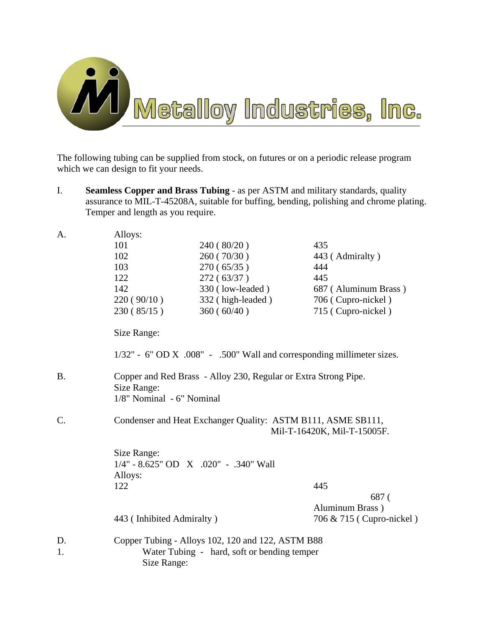

The following tubing can be supplied from stock, on futures or on a periodic release program which we can design to fit your needs.

I. **Seamless Copper and Brass Tubing** - as per ASTM and military standards, quality assurance to MIL-T-45208A, suitable for buffing, bending, polishing and chrome plating. Temper and length as you require.

| A.        | Alloys:                                                                                     |                                                                                                  |                          |  |
|-----------|---------------------------------------------------------------------------------------------|--------------------------------------------------------------------------------------------------|--------------------------|--|
|           | 101                                                                                         | 240(80/20)                                                                                       | 435                      |  |
|           | 102                                                                                         | 260(70/30)                                                                                       | 443 (Admiralty)          |  |
|           | 103                                                                                         | 270(65/35)                                                                                       | 444                      |  |
|           | 122                                                                                         | 272(63/37)                                                                                       | 445                      |  |
|           | 142                                                                                         | 330 (low-leaded)                                                                                 | 687 (Aluminum Brass)     |  |
|           | 220(90/10)                                                                                  | 332 (high-leaded)                                                                                | 706 (Cupro-nickel)       |  |
|           | 230(85/15)                                                                                  | 360(60/40)                                                                                       | 715 (Cupro-nickel)       |  |
|           | Size Range:                                                                                 |                                                                                                  |                          |  |
|           |                                                                                             | 1/32" - 6" OD X .008" - .500" Wall and corresponding millimeter sizes.                           |                          |  |
| <b>B.</b> | Size Range:<br>1/8" Nominal - 6" Nominal                                                    | Copper and Red Brass - Alloy 230, Regular or Extra Strong Pipe.                                  |                          |  |
| $C$ .     | Condenser and Heat Exchanger Quality: ASTM B111, ASME SB111,<br>Mil-T-16420K, Mil-T-15005F. |                                                                                                  |                          |  |
|           | Size Range:                                                                                 |                                                                                                  |                          |  |
|           |                                                                                             | $1/4$ " - 8.625" OD X .020" - .340" Wall                                                         |                          |  |
|           | Alloys:                                                                                     |                                                                                                  |                          |  |
|           | 122                                                                                         |                                                                                                  | 445                      |  |
|           |                                                                                             |                                                                                                  | 687 (                    |  |
|           |                                                                                             |                                                                                                  | Aluminum Brass)          |  |
|           | 443 (Inhibited Admiralty)                                                                   |                                                                                                  | 706 & 715 (Cupro-nickel) |  |
| D.<br>1.  | Size Range:                                                                                 | Copper Tubing - Alloys 102, 120 and 122, ASTM B88<br>Water Tubing - hard, soft or bending temper |                          |  |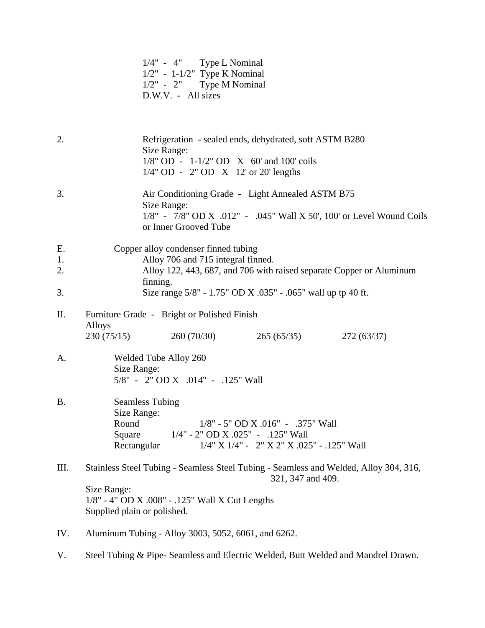|  |                      | $1/4" - 4"$ Type L Nominal      |
|--|----------------------|---------------------------------|
|  |                      | $1/2$ " - 1-1/2" Type K Nominal |
|  |                      | $1/2" - 2"$ Type M Nominal      |
|  | $D.W.V. - All sizes$ |                                 |

2. Refrigeration - sealed ends, dehydrated, soft ASTM B280 Size Range: 1/8" OD - 1-1/2" OD X 60' and 100' coils 1/4" OD - 2" OD X 12' or 20' lengths 3. Air Conditioning Grade - Light Annealed ASTM B75 Size Range: 1/8" - 7/8" OD X .012" - .045" Wall X 50', 100' or Level Wound Coils or Inner Grooved Tube E. Copper alloy condenser finned tubing 1. Alloy 706 and 715 integral finned. 2. Alloy 122, 443, 687, and 706 with raised separate Copper or Aluminum finning. 3. Size range 5/8" - 1.75" OD X .035" - .065" wall up tp 40 ft. II. Furniture Grade - Bright or Polished Finish Alloys 230 (75/15) 260 (70/30) 265 (65/35) 272 (63/37) A. Welded Tube Alloy 260 Size Range: 5/8" - 2" OD X .014" - .125" Wall B. Seamless Tubing Size Range: Round 1/8" - 5" OD X .016" - .375" Wall Square 1/4" - 2" OD X .025" - .125" Wall Rectangular 1/4" X 1/4" - 2" X 2" X .025" - .125" Wall III. Stainless Steel Tubing - Seamless Steel Tubing - Seamless and Welded, Alloy 304, 316, 321, 347 and 409. Size Range: 1/8" - 4" OD X .008" - .125" Wall X Cut Lengths Supplied plain or polished. IV. Aluminum Tubing - Alloy 3003, 5052, 6061, and 6262.

V. Steel Tubing & Pipe- Seamless and Electric Welded, Butt Welded and Mandrel Drawn.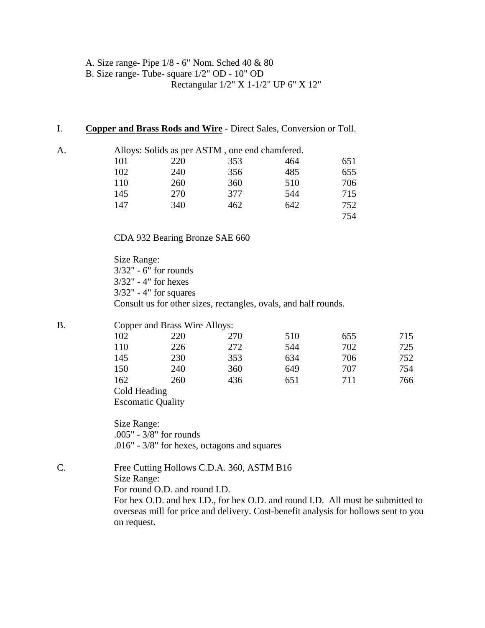A. Size range- Pipe 1/8 - 6" Nom. Sched 40 & 80 B. Size range- Tube- square 1/2" OD - 10" OD Rectangular 1/2" X 1-1/2" UP 6" X 12"

#### I. **Copper and Brass Rods and Wire** - Direct Sales, Conversion or Toll.

| A. |     | Alloys: Solids as per ASTM, one end chamfered. |     |     |     |
|----|-----|------------------------------------------------|-----|-----|-----|
|    | 101 | 220                                            | 353 | 464 | 651 |
|    | 102 | 240                                            | 356 | 485 | 655 |
|    | 110 | 260                                            | 360 | 510 | 706 |
|    | 145 | 270                                            | 377 | 544 | 715 |
|    | 147 | 340                                            | 462 | 642 | 752 |
|    |     |                                                |     |     | 754 |

CDA 932 Bearing Bronze SAE 660

 Size Range: 3/32" - 6" for rounds 3/32" - 4" for hexes 3/32" - 4" for squares Consult us for other sizes, rectangles, ovals, and half rounds.

### B. Copper and Brass Wire Alloys:

| --  |     | . . |     |     |     |
|-----|-----|-----|-----|-----|-----|
| 102 | 220 | 270 | 510 | 655 | 715 |
| 110 | 226 | 272 | 544 | 702 | 725 |
| 145 | 230 | 353 | 634 | 706 | 752 |
| 150 | 240 | 360 | 649 | 707 | 754 |
| 162 | 260 | 436 | 651 | 711 | 766 |
|     |     |     |     |     |     |

 Cold Heading Escomatic Quality

 Size Range: .005" - 3/8" for rounds .016" - 3/8" for hexes, octagons and squares

C. Free Cutting Hollows C.D.A. 360, ASTM B16 Size Range: For round O.D. and round I.D.

For hex O.D. and hex I.D., for hex O.D. and round I.D. All must be submitted to overseas mill for price and delivery. Cost-benefit analysis for hollows sent to you on request.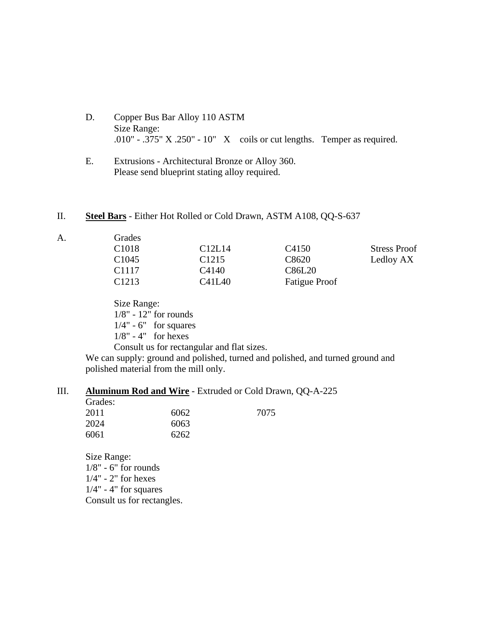- D. Copper Bus Bar Alloy 110 ASTM Size Range: .010" - .375" X .250" - 10" X coils or cut lengths. Temper as required.
- E. Extrusions Architectural Bronze or Alloy 360. Please send blueprint stating alloy required.
- II. **Steel Bars** Either Hot Rolled or Cold Drawn, ASTM A108, QQ-S-637

| А. | Grades            |                                 |                      |                     |
|----|-------------------|---------------------------------|----------------------|---------------------|
|    | C <sub>1018</sub> | C <sub>12</sub> L <sub>14</sub> | C <sub>4150</sub>    | <b>Stress Proof</b> |
|    | C <sub>1045</sub> | C <sub>1215</sub>               | C8620                | Ledloy AX           |
|    | C <sub>1117</sub> | C4140                           | C86L20               |                     |
|    | C <sub>1213</sub> | C41L40                          | <b>Fatigue Proof</b> |                     |

 Size Range: 1/8" - 12" for rounds  $1/4" - 6"$  for squares 1/8" - 4" for hexes

 Consult us for rectangular and flat sizes. We can supply: ground and polished, turned and polished, and turned ground and polished material from the mill only.

### III. **Aluminum Rod and Wire** - Extruded or Cold Drawn, QQ-A-225

| Grades: |      |      |
|---------|------|------|
| 2011    | 6062 | 7075 |
| 2024    | 6063 |      |
| 6061    | 6262 |      |

 Size Range:  $1/8$ " - 6" for rounds 1/4" - 2" for hexes  $1/4$ " - 4" for squares Consult us for rectangles.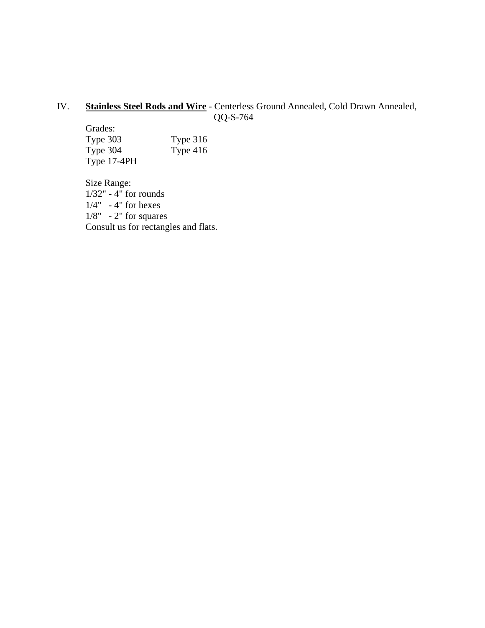### IV. **Stainless Steel Rods and Wire** - Centerless Ground Annealed, Cold Drawn Annealed, QQ-S-764

 Grades: Type 303<br>Type 304<br>Type 416 Type  $304$ Type 17-4PH

 Size Range: 1/32" - 4" for rounds  $1/4" - 4"$  for hexes  $1/8" - 2"$  for squares Consult us for rectangles and flats.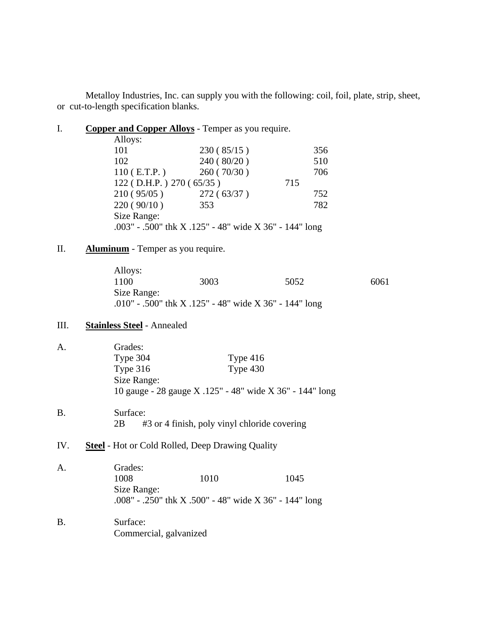Metalloy Industries, Inc. can supply you with the following: coil, foil, plate, strip, sheet, or cut-to-length specification blanks.

I. **Copper and Copper Alloys** - Temper as you require.

| Alloys:                      |                                                        |     |
|------------------------------|--------------------------------------------------------|-----|
| 101                          | 230(85/15)                                             | 356 |
| 102                          | 240(80/20)                                             | 510 |
| $110$ (E.T.P.)               | 260(70/30)                                             | 706 |
| $122$ (D.H.P.) $270$ (65/35) |                                                        | 715 |
| 210(95/05)                   | 272(63/37)                                             | 752 |
| 220(90/10)                   | 353                                                    | 782 |
| Size Range:                  |                                                        |     |
|                              | .003" - .500" thk X .125" - 48" wide X 36" - 144" long |     |

## II. **Aluminum** - Temper as you require.

| Alloys:     |                                                        |      |      |
|-------------|--------------------------------------------------------|------|------|
| 1100.       | 3003                                                   | 5052 | 6061 |
| Size Range: |                                                        |      |      |
|             | .010" - .500" thk X .125" - 48" wide X 36" - 144" long |      |      |

# III. **Stainless Steel** - Annealed

| A.        | Grades:<br>Type 304<br>Type $316$<br>Size Range:                                                 | Type $416$<br>Type $430$<br>10 gauge - 28 gauge X .125" - 48" wide X 36" - 144" long |
|-----------|--------------------------------------------------------------------------------------------------|--------------------------------------------------------------------------------------|
| <b>B.</b> | Surface:<br>2B                                                                                   | #3 or 4 finish, poly vinyl chloride covering                                         |
| IV.       | <b>Steel</b> - Hot or Cold Rolled, Deep Drawing Quality                                          |                                                                                      |
| A.        | Grades:<br>1008<br>1010<br>Size Range:<br>.008" - .250" thk X .500" - 48" wide X 36" - 144" long | 1045                                                                                 |
| <b>B.</b> | Surface:<br>Commercial, galvanized                                                               |                                                                                      |